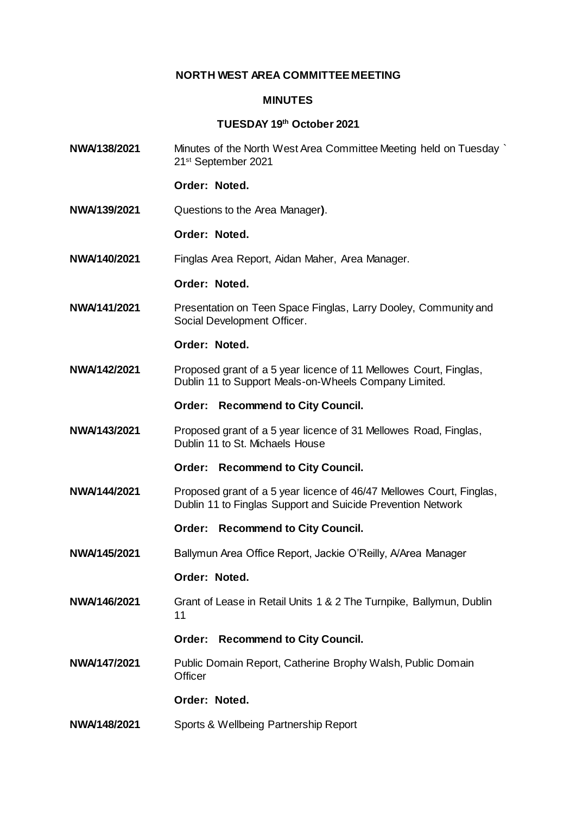### **NORTH WEST AREA COMMITTEE MEETING**

#### **MINUTES**

# **TUESDAY 19th October 2021**

**NWA/138/2021** Minutes of the North West Area Committee Meeting held on Tuesday ` 21st September 2021

### **Order: Noted.**

**NWA/139/2021** Questions to the Area Manager**)**.

#### **Order: Noted.**

**NWA/140/2021** Finglas Area Report, Aidan Maher, Area Manager.

### **Order: Noted.**

**NWA/141/2021** Presentation on Teen Space Finglas, Larry Dooley, Community and Social Development Officer.

#### **Order: Noted.**

- **NWA/142/2021** Proposed grant of a 5 year licence of 11 Mellowes Court, Finglas, Dublin 11 to Support Meals-on-Wheels Company Limited.
	- **Order: Recommend to City Council.**
- **NWA/143/2021** Proposed grant of a 5 year licence of 31 Mellowes Road, Finglas, Dublin 11 to St. Michaels House

### **Order: Recommend to City Council.**

- **NWA/144/2021** Proposed grant of a 5 year licence of 46/47 Mellowes Court, Finglas, Dublin 11 to Finglas Support and Suicide Prevention Network
	- **Order: Recommend to City Council.**
- **NWA/145/2021** Ballymun Area Office Report, Jackie O'Reilly, A/Area Manager

### **Order: Noted.**

**NWA/146/2021** Grant of Lease in Retail Units 1 & 2 The Turnpike, Ballymun, Dublin 11

### **Order: Recommend to City Council.**

**NWA/147/2021** Public Domain Report, Catherine Brophy Walsh, Public Domain **Officer** 

## **Order: Noted.**

**NWA/148/2021** Sports & Wellbeing Partnership Report